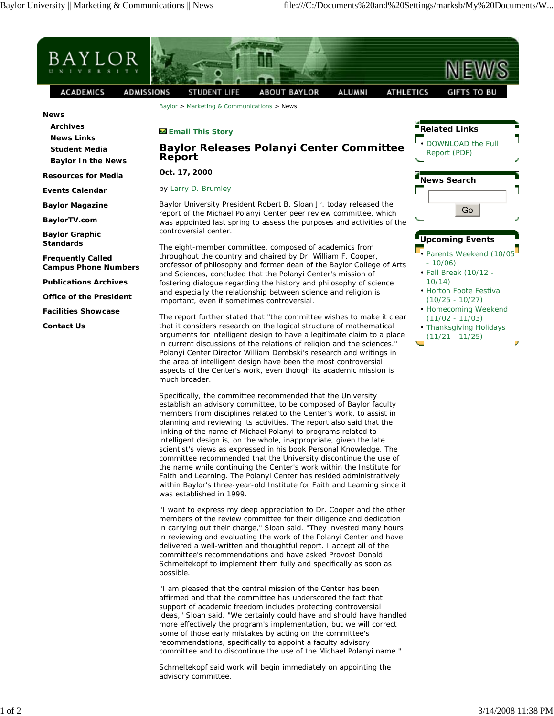

Schmeltekopf said work will begin immediately on appointing the advisory committee.